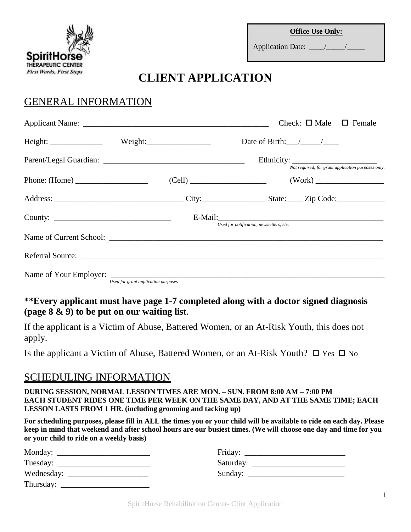

Application Date:  $\frac{1}{2}$  /

# **CLIENT APPLICATION**

# GENERAL INFORMATION

|                                                            |                                     |                                          | Check: $\Box$ Male $\Box$ Female |                                                    |
|------------------------------------------------------------|-------------------------------------|------------------------------------------|----------------------------------|----------------------------------------------------|
|                                                            |                                     |                                          |                                  |                                                    |
|                                                            |                                     |                                          |                                  | Not required; for grant application purposes only. |
|                                                            |                                     |                                          |                                  |                                                    |
|                                                            |                                     |                                          |                                  |                                                    |
| County: $\frac{1}{\sqrt{1-\frac{1}{2}} \cdot \frac{1}{2}}$ |                                     | Used for notification, newsletters, etc. |                                  |                                                    |
|                                                            |                                     |                                          |                                  |                                                    |
|                                                            |                                     |                                          |                                  |                                                    |
|                                                            | Used for grant application purposes |                                          |                                  |                                                    |

## **\*\*Every applicant must have page 1-7 completed along with a doctor signed diagnosis (page 8 & 9) to be put on our waiting list**.

If the applicant is a Victim of Abuse, Battered Women, or an At-Risk Youth, this does not apply.

Is the applicant a Victim of Abuse, Battered Women, or an At-Risk Youth?  $\Box$  Yes  $\Box$  No

## SCHEDULING INFORMATION

**DURING SESSION, NORMAL LESSON TIMES ARE MON. – SUN. FROM 8:00 AM – 7:00 PM EACH STUDENT RIDES ONE TIME PER WEEK ON THE SAME DAY, AND AT THE SAME TIME; EACH LESSON LASTS FROM 1 HR. (including grooming and tacking up)**

**For scheduling purposes, please fill in ALL the times you or your child will be available to ride on each day. Please keep in mind that weekend and after school hours are our busiest times. (We will choose one day and time for you or your child to ride on a weekly basis)**

|                                                               | Friday: $\frac{1}{\sqrt{1-\frac{1}{2}} \cdot \frac{1}{2}}$ |
|---------------------------------------------------------------|------------------------------------------------------------|
|                                                               |                                                            |
| Wednesday: $\frac{1}{\sqrt{1-\frac{1}{2}} \cdot \frac{1}{2}}$ |                                                            |
| Thursday:                                                     |                                                            |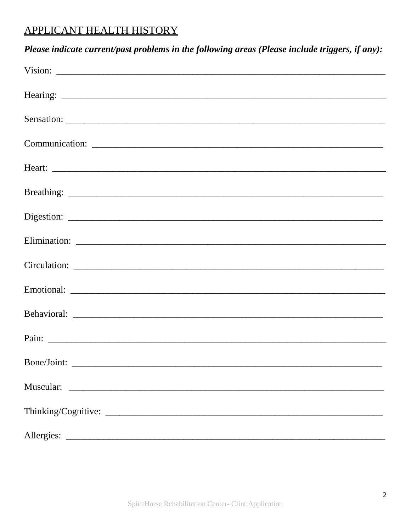# **APPLICANT HEALTH HISTORY**

| Please indicate current/past problems in the following areas (Please include triggers, if any):                                                                                                                                     |
|-------------------------------------------------------------------------------------------------------------------------------------------------------------------------------------------------------------------------------------|
| Vision: $\overline{\phantom{a}}$                                                                                                                                                                                                    |
|                                                                                                                                                                                                                                     |
|                                                                                                                                                                                                                                     |
|                                                                                                                                                                                                                                     |
|                                                                                                                                                                                                                                     |
|                                                                                                                                                                                                                                     |
|                                                                                                                                                                                                                                     |
|                                                                                                                                                                                                                                     |
|                                                                                                                                                                                                                                     |
|                                                                                                                                                                                                                                     |
|                                                                                                                                                                                                                                     |
| Pain: <u>Discovered</u> Constanting Constanting Constanting Constanting Constanting Constanting Constanting Constanting Constanting Constanting Constanting Constanting Constanting Constanting Constanting Constanting Constanting |
|                                                                                                                                                                                                                                     |
|                                                                                                                                                                                                                                     |
|                                                                                                                                                                                                                                     |
|                                                                                                                                                                                                                                     |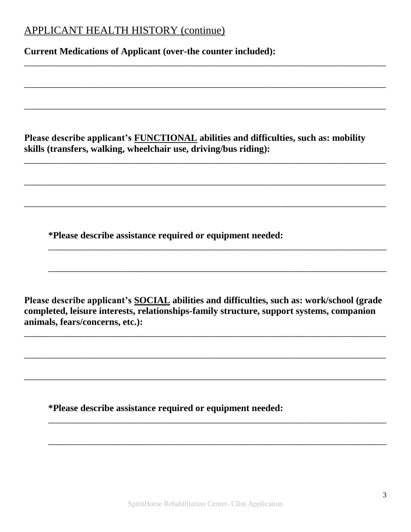# APPLICANT HEALTH HISTORY (continue)

**Current Medications of Applicant (over-the counter included):**

**Please describe applicant's FUNCTIONAL abilities and difficulties, such as: mobility skills (transfers, walking, wheelchair use, driving/bus riding):**

\_\_\_\_\_\_\_\_\_\_\_\_\_\_\_\_\_\_\_\_\_\_\_\_\_\_\_\_\_\_\_\_\_\_\_\_\_\_\_\_\_\_\_\_\_\_\_\_\_\_\_\_\_\_\_\_\_\_\_\_\_\_\_\_\_\_\_\_\_\_\_\_\_\_\_\_\_

\_\_\_\_\_\_\_\_\_\_\_\_\_\_\_\_\_\_\_\_\_\_\_\_\_\_\_\_\_\_\_\_\_\_\_\_\_\_\_\_\_\_\_\_\_\_\_\_\_\_\_\_\_\_\_\_\_\_\_\_\_\_\_\_\_\_\_\_\_\_\_\_\_\_\_\_\_

\_\_\_\_\_\_\_\_\_\_\_\_\_\_\_\_\_\_\_\_\_\_\_\_\_\_\_\_\_\_\_\_\_\_\_\_\_\_\_\_\_\_\_\_\_\_\_\_\_\_\_\_\_\_\_\_\_\_\_\_\_\_\_\_\_\_\_\_\_\_\_\_\_\_\_\_\_

\_\_\_\_\_\_\_\_\_\_\_\_\_\_\_\_\_\_\_\_\_\_\_\_\_\_\_\_\_\_\_\_\_\_\_\_\_\_\_\_\_\_\_\_\_\_\_\_\_\_\_\_\_\_\_\_\_\_\_\_\_\_\_\_\_\_\_\_\_\_\_\_\_\_\_\_\_

\_\_\_\_\_\_\_\_\_\_\_\_\_\_\_\_\_\_\_\_\_\_\_\_\_\_\_\_\_\_\_\_\_\_\_\_\_\_\_\_\_\_\_\_\_\_\_\_\_\_\_\_\_\_\_\_\_\_\_\_\_\_\_\_\_\_\_\_\_\_\_\_\_\_\_\_\_

\_\_\_\_\_\_\_\_\_\_\_\_\_\_\_\_\_\_\_\_\_\_\_\_\_\_\_\_\_\_\_\_\_\_\_\_\_\_\_\_\_\_\_\_\_\_\_\_\_\_\_\_\_\_\_\_\_\_\_\_\_\_\_\_\_\_\_\_\_\_\_\_\_\_\_\_\_

\_\_\_\_\_\_\_\_\_\_\_\_\_\_\_\_\_\_\_\_\_\_\_\_\_\_\_\_\_\_\_\_\_\_\_\_\_\_\_\_\_\_\_\_\_\_\_\_\_\_\_\_\_\_\_\_\_\_\_\_\_\_\_\_\_\_\_\_\_\_\_\_

\_\_\_\_\_\_\_\_\_\_\_\_\_\_\_\_\_\_\_\_\_\_\_\_\_\_\_\_\_\_\_\_\_\_\_\_\_\_\_\_\_\_\_\_\_\_\_\_\_\_\_\_\_\_\_\_\_\_\_\_\_\_\_\_\_\_\_\_\_\_\_\_

**\*Please describe assistance required or equipment needed:**

**Please describe applicant's SOCIAL abilities and difficulties, such as: work/school (grade completed, leisure interests, relationships-family structure, support systems, companion animals, fears/concerns, etc.):**

\_\_\_\_\_\_\_\_\_\_\_\_\_\_\_\_\_\_\_\_\_\_\_\_\_\_\_\_\_\_\_\_\_\_\_\_\_\_\_\_\_\_\_\_\_\_\_\_\_\_\_\_\_\_\_\_\_\_\_\_\_\_\_\_\_\_\_\_\_\_\_\_\_\_\_\_\_

\_\_\_\_\_\_\_\_\_\_\_\_\_\_\_\_\_\_\_\_\_\_\_\_\_\_\_\_\_\_\_\_\_\_\_\_\_\_\_\_\_\_\_\_\_\_\_\_\_\_\_\_\_\_\_\_\_\_\_\_\_\_\_\_\_\_\_\_\_\_\_\_\_\_\_\_\_

\_\_\_\_\_\_\_\_\_\_\_\_\_\_\_\_\_\_\_\_\_\_\_\_\_\_\_\_\_\_\_\_\_\_\_\_\_\_\_\_\_\_\_\_\_\_\_\_\_\_\_\_\_\_\_\_\_\_\_\_\_\_\_\_\_\_\_\_\_\_\_\_\_\_\_\_\_

\_\_\_\_\_\_\_\_\_\_\_\_\_\_\_\_\_\_\_\_\_\_\_\_\_\_\_\_\_\_\_\_\_\_\_\_\_\_\_\_\_\_\_\_\_\_\_\_\_\_\_\_\_\_\_\_\_\_\_\_\_\_\_\_\_\_\_\_\_\_\_\_

\_\_\_\_\_\_\_\_\_\_\_\_\_\_\_\_\_\_\_\_\_\_\_\_\_\_\_\_\_\_\_\_\_\_\_\_\_\_\_\_\_\_\_\_\_\_\_\_\_\_\_\_\_\_\_\_\_\_\_\_\_\_\_\_\_\_\_\_\_\_\_\_

**\*Please describe assistance required or equipment needed:**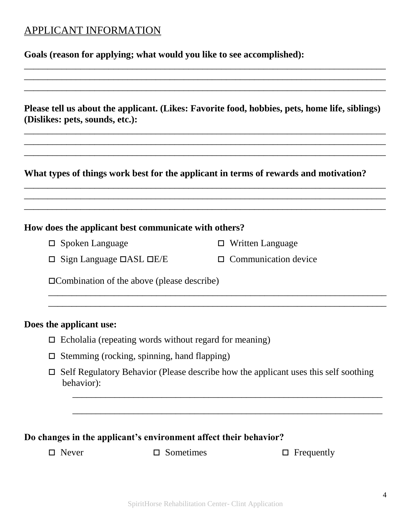# APPLICANT INFORMATION

**Goals (reason for applying; what would you like to see accomplished):**

**Please tell us about the applicant. (Likes: Favorite food, hobbies, pets, home life, siblings) (Dislikes: pets, sounds, etc.):**

\_\_\_\_\_\_\_\_\_\_\_\_\_\_\_\_\_\_\_\_\_\_\_\_\_\_\_\_\_\_\_\_\_\_\_\_\_\_\_\_\_\_\_\_\_\_\_\_\_\_\_\_\_\_\_\_\_\_\_\_\_\_\_\_\_\_\_\_\_\_\_\_\_\_\_\_\_ \_\_\_\_\_\_\_\_\_\_\_\_\_\_\_\_\_\_\_\_\_\_\_\_\_\_\_\_\_\_\_\_\_\_\_\_\_\_\_\_\_\_\_\_\_\_\_\_\_\_\_\_\_\_\_\_\_\_\_\_\_\_\_\_\_\_\_\_\_\_\_\_\_\_\_\_\_ \_\_\_\_\_\_\_\_\_\_\_\_\_\_\_\_\_\_\_\_\_\_\_\_\_\_\_\_\_\_\_\_\_\_\_\_\_\_\_\_\_\_\_\_\_\_\_\_\_\_\_\_\_\_\_\_\_\_\_\_\_\_\_\_\_\_\_\_\_\_\_\_\_\_\_\_\_

\_\_\_\_\_\_\_\_\_\_\_\_\_\_\_\_\_\_\_\_\_\_\_\_\_\_\_\_\_\_\_\_\_\_\_\_\_\_\_\_\_\_\_\_\_\_\_\_\_\_\_\_\_\_\_\_\_\_\_\_\_\_\_\_\_\_\_\_\_\_\_\_\_\_\_\_\_ \_\_\_\_\_\_\_\_\_\_\_\_\_\_\_\_\_\_\_\_\_\_\_\_\_\_\_\_\_\_\_\_\_\_\_\_\_\_\_\_\_\_\_\_\_\_\_\_\_\_\_\_\_\_\_\_\_\_\_\_\_\_\_\_\_\_\_\_\_\_\_\_\_\_\_\_\_ \_\_\_\_\_\_\_\_\_\_\_\_\_\_\_\_\_\_\_\_\_\_\_\_\_\_\_\_\_\_\_\_\_\_\_\_\_\_\_\_\_\_\_\_\_\_\_\_\_\_\_\_\_\_\_\_\_\_\_\_\_\_\_\_\_\_\_\_\_\_\_\_\_\_\_\_\_

\_\_\_\_\_\_\_\_\_\_\_\_\_\_\_\_\_\_\_\_\_\_\_\_\_\_\_\_\_\_\_\_\_\_\_\_\_\_\_\_\_\_\_\_\_\_\_\_\_\_\_\_\_\_\_\_\_\_\_\_\_\_\_\_\_\_\_\_\_\_\_\_\_\_\_\_\_ \_\_\_\_\_\_\_\_\_\_\_\_\_\_\_\_\_\_\_\_\_\_\_\_\_\_\_\_\_\_\_\_\_\_\_\_\_\_\_\_\_\_\_\_\_\_\_\_\_\_\_\_\_\_\_\_\_\_\_\_\_\_\_\_\_\_\_\_\_\_\_\_\_\_\_\_\_ \_\_\_\_\_\_\_\_\_\_\_\_\_\_\_\_\_\_\_\_\_\_\_\_\_\_\_\_\_\_\_\_\_\_\_\_\_\_\_\_\_\_\_\_\_\_\_\_\_\_\_\_\_\_\_\_\_\_\_\_\_\_\_\_\_\_\_\_\_\_\_\_\_\_\_\_\_

**What types of things work best for the applicant in terms of rewards and motivation?**

## **How does the applicant best communicate with others?**

□ Spoken Language

- Written Language
- $\Box$  Sign Language  $\Box$ ASL  $\Box$ E/E
	- $\Box$  Communication device

Combination of the above (please describe)

## **Does the applicant use:**

- $\Box$  Echolalia (repeating words without regard for meaning)
- $\Box$  Stemming (rocking, spinning, hand flapping)
- $\Box$  Self Regulatory Behavior (Please describe how the applicant uses this self soothing behavior):

 $\overline{a_1}$  ,  $\overline{a_2}$  ,  $\overline{a_3}$  ,  $\overline{a_4}$  ,  $\overline{a_5}$  ,  $\overline{a_6}$  ,  $\overline{a_7}$  ,  $\overline{a_8}$  ,  $\overline{a_9}$  ,  $\overline{a_9}$  ,  $\overline{a_9}$  ,  $\overline{a_9}$  ,  $\overline{a_9}$  ,  $\overline{a_9}$  ,  $\overline{a_9}$  ,  $\overline{a_9}$  ,  $\overline{a_9}$  ,

\_\_\_\_\_\_\_\_\_\_\_\_\_\_\_\_\_\_\_\_\_\_\_\_\_\_\_\_\_\_\_\_\_\_\_\_\_\_\_\_\_\_\_\_\_\_\_\_\_\_\_\_\_\_\_\_\_\_\_\_\_\_\_\_\_\_

\_\_\_\_\_\_\_\_\_\_\_\_\_\_\_\_\_\_\_\_\_\_\_\_\_\_\_\_\_\_\_\_\_\_\_\_\_\_\_\_\_\_\_\_\_\_\_\_\_\_\_\_\_\_\_\_\_\_\_\_\_\_\_\_\_\_\_\_\_\_\_\_ \_\_\_\_\_\_\_\_\_\_\_\_\_\_\_\_\_\_\_\_\_\_\_\_\_\_\_\_\_\_\_\_\_\_\_\_\_\_\_\_\_\_\_\_\_\_\_\_\_\_\_\_\_\_\_\_\_\_\_\_\_\_\_\_\_\_\_\_\_\_\_\_

## **Do changes in the applicant's environment affect their behavior?**

 $\Box$  Never  $\Box$  Sometimes  $\Box$  Frequently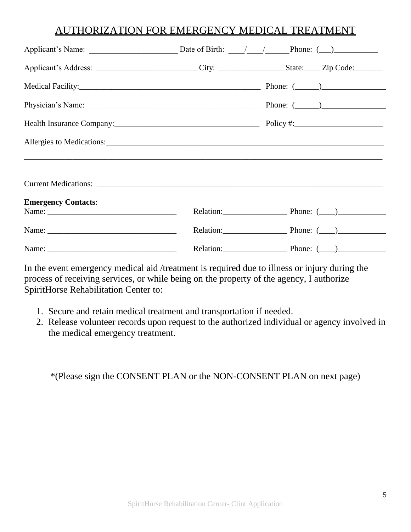## AUTHORIZATION FOR EMERGENCY MEDICAL TREATMENT

| Applicant's Address: _______________________________City: ______________________State: ______ Zip Code: |                         |
|---------------------------------------------------------------------------------------------------------|-------------------------|
|                                                                                                         |                         |
| Physician's Name: Physician's Name: (2003)                                                              |                         |
|                                                                                                         |                         |
| Allergies to Medications:                                                                               |                         |
|                                                                                                         |                         |
|                                                                                                         |                         |
| <b>Emergency Contacts:</b>                                                                              | Relation: Phone: (2010) |
|                                                                                                         | Relation: Phone: (2010) |
|                                                                                                         | Relation: Phone: (2010) |

In the event emergency medical aid /treatment is required due to illness or injury during the process of receiving services, or while being on the property of the agency, I authorize SpiritHorse Rehabilitation Center to:

- 1. Secure and retain medical treatment and transportation if needed.
- 2. Release volunteer records upon request to the authorized individual or agency involved in the medical emergency treatment.

\*(Please sign the CONSENT PLAN or the NON-CONSENT PLAN on next page)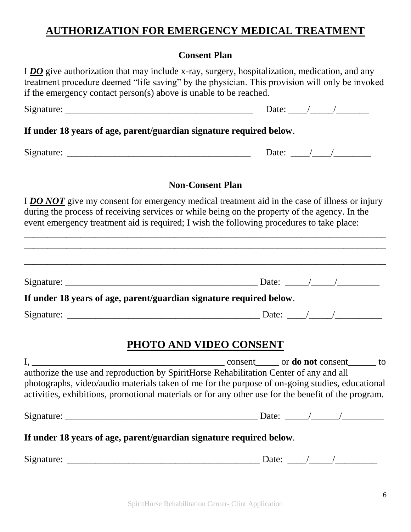# **AUTHORIZATION FOR EMERGENCY MEDICAL TREATMENT**

## **Consent Plan**

I *DO* give authorization that may include x-ray, surgery, hospitalization, medication, and any treatment procedure deemed "life saving" by the physician. This provision will only be invoked if the emergency contact person(s) above is unable to be reached.

## **If under 18 years of age, parent/guardian signature required below**.

Signature: \_\_\_\_\_\_\_\_\_\_\_\_\_\_\_\_\_\_\_\_\_\_\_\_\_\_\_\_\_\_\_\_\_\_\_\_\_\_\_ Date: \_\_\_\_/\_\_\_\_/\_\_\_\_\_\_\_\_

## **Non-Consent Plan**

I **DO NOT** give my consent for emergency medical treatment aid in the case of illness or injury during the process of receiving services or while being on the property of the agency. In the event emergency treatment aid is required; I wish the following procedures to take place:

| If under 18 years of age, parent/guardian signature required below.                    |                                                                                                                                                                                                        |
|----------------------------------------------------------------------------------------|--------------------------------------------------------------------------------------------------------------------------------------------------------------------------------------------------------|
|                                                                                        |                                                                                                                                                                                                        |
| authorize the use and reproduction by SpiritHorse Rehabilitation Center of any and all | photographs, video/audio materials taken of me for the purpose of on-going studies, educational<br>activities, exhibitions, promotional materials or for any other use for the benefit of the program. |
|                                                                                        |                                                                                                                                                                                                        |
| If under 18 years of age, parent/guardian signature required below.                    |                                                                                                                                                                                                        |
|                                                                                        |                                                                                                                                                                                                        |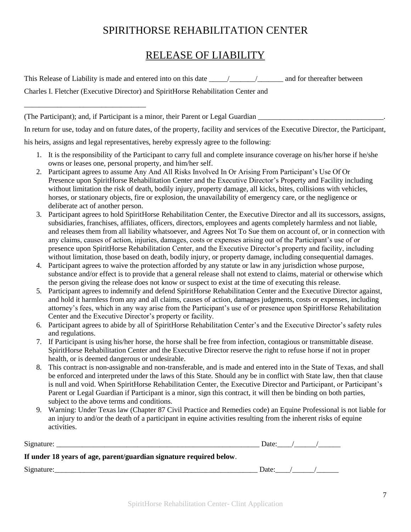# SPIRITHORSE REHABILITATION CENTER

# RELEASE OF LIABILITY

This Release of Liability is made and entered into on this date  $\frac{1}{\sqrt{1-\frac{1}{\sqrt{1-\frac{1}{\sqrt{1-\frac{1}{\sqrt{1-\frac{1}{\sqrt{1-\frac{1}{\sqrt{1-\frac{1}{\sqrt{1-\frac{1}{\sqrt{1-\frac{1}{\sqrt{1-\frac{1}{\sqrt{1-\frac{1}{\sqrt{1-\frac{1}{\sqrt{1-\frac{1}{\sqrt{1-\frac{1}{\sqrt{1-\frac{1}{\sqrt{1-\frac{1}{\sqrt{1-\frac{1}{\sqrt{1-\frac{$ 

Charles I. Fletcher (Executive Director) and SpiritHorse Rehabilitation Center and

\_\_\_\_\_\_\_\_\_\_\_\_\_\_\_\_\_\_\_\_\_\_\_\_\_\_\_\_\_\_\_\_\_

(The Participant); and, if Participant is a minor, their Parent or Legal Guardian \_\_\_\_\_\_\_\_\_\_\_\_\_\_\_\_\_\_\_\_\_\_\_\_\_\_\_\_\_\_\_\_\_\_.

In return for use, today and on future dates, of the property, facility and services of the Executive Director, the Participant,

his heirs, assigns and legal representatives, hereby expressly agree to the following:

- 1. It is the responsibility of the Participant to carry full and complete insurance coverage on his/her horse if he/she owns or leases one, personal property, and him/her self.
- 2. Participant agrees to assume Any And All Risks Involved In Or Arising From Participant's Use Of Or Presence upon SpiritHorse Rehabilitation Center and the Executive Director's Property and Facility including without limitation the risk of death, bodily injury, property damage, all kicks, bites, collisions with vehicles, horses, or stationary objects, fire or explosion, the unavailability of emergency care, or the negligence or deliberate act of another person.
- 3. Participant agrees to hold SpiritHorse Rehabilitation Center, the Executive Director and all its successors, assigns, subsidiaries, franchises, affiliates, officers, directors, employees and agents completely harmless and not liable, and releases them from all liability whatsoever, and Agrees Not To Sue them on account of, or in connection with any claims, causes of action, injuries, damages, costs or expenses arising out of the Participant's use of or presence upon SpiritHorse Rehabilitation Center, and the Executive Director's property and facility, including without limitation, those based on death, bodily injury, or property damage, including consequential damages.
- 4. Participant agrees to waive the protection afforded by any statute or law in any jurisdiction whose purpose, substance and/or effect is to provide that a general release shall not extend to claims, material or otherwise which the person giving the release does not know or suspect to exist at the time of executing this release.
- 5. Participant agrees to indemnify and defend SpiritHorse Rehabilitation Center and the Executive Director against, and hold it harmless from any and all claims, causes of action, damages judgments, costs or expenses, including attorney's fees, which in any way arise from the Participant's use of or presence upon SpiritHorse Rehabilitation Center and the Executive Director's property or facility.
- 6. Participant agrees to abide by all of SpiritHorse Rehabilitation Center's and the Executive Director's safety rules and regulations.
- 7. If Participant is using his/her horse, the horse shall be free from infection, contagious or transmittable disease. SpiritHorse Rehabilitation Center and the Executive Director reserve the right to refuse horse if not in proper health, or is deemed dangerous or undesirable.
- 8. This contract is non-assignable and non-transferable, and is made and entered into in the State of Texas, and shall be enforced and interpreted under the laws of this State. Should any be in conflict with State law, then that clause is null and void. When SpiritHorse Rehabilitation Center, the Executive Director and Participant, or Participant's Parent or Legal Guardian if Participant is a minor, sign this contract, it will then be binding on both parties, subject to the above terms and conditions.
- 9. Warning: Under Texas law (Chapter 87 Civil Practice and Remedies code) an Equine Professional is not liable for an injury to and/or the death of a participant in equine activities resulting from the inherent risks of equine activities.

| Signature:                                                         |  |  |
|--------------------------------------------------------------------|--|--|
| If under 18 vears of age, parent/guardian signature required below |  |  |

**If under 18 years of age, parent/guardian signature required below**.

 $Signature:$  Date:  $\qquad$  /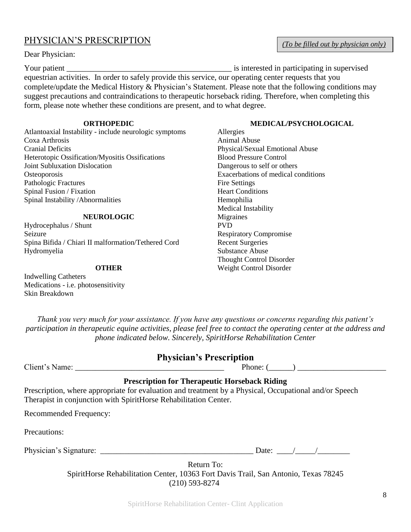## PHYSICIAN'S PRESCRIPTION

Dear Physician:

Your patient \_\_\_\_\_\_\_\_\_\_\_\_\_\_\_\_\_\_\_\_\_\_\_\_\_\_\_\_\_\_\_\_\_\_\_\_\_\_\_\_\_ is interested in participating in supervised equestrian activities. In order to safely provide this service, our operating center requests that you complete/update the Medical History & Physician's Statement. Please note that the following conditions may suggest precautions and contraindications to therapeutic horseback riding. Therefore, when completing this form, please note whether these conditions are present, and to what degree.

#### **ORTHOPEDIC**

Atlantoaxial Instability - include neurologic symptoms Coxa Arthrosis Cranial Deficits Heterotopic Ossification/Myositis Ossifications Joint Subluxation Dislocation **Osteoporosis** Pathologic Fractures Spinal Fusion / Fixation Spinal Instability /Abnormalities

#### **NEUROLOGIC**

Hydrocephalus / Shunt Seizure Spina Bifida / Chiari II malformation/Tethered Cord Hydromyelia

#### **OTHER**

Indwelling Catheters Medications - i.e. photosensitivity Skin Breakdown

*Thank you very much for your assistance. If you have any questions or concerns regarding this patient's participation in therapeutic equine activities, please feel free to contact the operating center at the address and phone indicated below. Sincerely, SpiritHorse Rehabilitation Center*

## **Physician's Prescription**

|  |  | Client's Name: |  |
|--|--|----------------|--|
|--|--|----------------|--|

Phone:  $($ 

### **Prescription for Therapeutic Horseback Riding**

Prescription, where appropriate for evaluation and treatment by a Physical, Occupational and/or Speech Therapist in conjunction with SpiritHorse Rehabilitation Center.

Recommended Frequency:

Precautions:

Physician's Signature: \_\_\_\_\_\_\_\_\_\_\_\_\_\_\_\_\_\_\_\_\_\_\_\_\_\_\_\_\_\_\_\_\_\_\_\_\_\_ Date: \_\_\_\_/\_\_\_\_\_/\_\_\_\_\_\_\_\_

Return To: SpiritHorse Rehabilitation Center, 10363 Fort Davis Trail, San Antonio, Texas 78245 (210) 593-8274

### **MEDICAL/PSYCHOLOGICAL**

Allergies Animal Abuse Physical/Sexual Emotional Abuse Blood Pressure Control Dangerous to self or others Exacerbations of medical conditions Fire Settings Heart Conditions Hemophilia Medical Instability **Migraines** PVD Respiratory Compromise Recent Surgeries Substance Abuse Thought Control Disorder Weight Control Disorder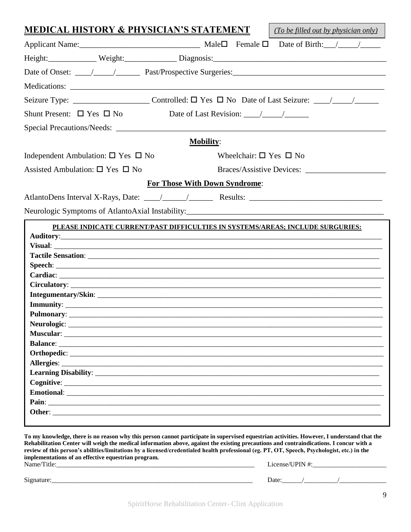| <u>MEDICAL HISTORY &amp; PHYSICIAN'S STATEMENT</u> | (To be filled out by physician only)                                           |
|----------------------------------------------------|--------------------------------------------------------------------------------|
|                                                    |                                                                                |
|                                                    |                                                                                |
|                                                    |                                                                                |
|                                                    |                                                                                |
|                                                    |                                                                                |
| Shunt Present: $\Box$ Yes $\Box$ No                | Date of Last Revision: $\frac{\sqrt{2}}{2}$                                    |
|                                                    |                                                                                |
|                                                    |                                                                                |
|                                                    | <b>Mobility:</b>                                                               |
| Independent Ambulation: $\square$ Yes $\square$ No | Wheelchair: $\square$ Yes $\square$ No                                         |
| Assisted Ambulation: $\square$ Yes $\square$ No    |                                                                                |
|                                                    | <b>For Those With Down Syndrome:</b>                                           |
|                                                    |                                                                                |
|                                                    |                                                                                |
|                                                    |                                                                                |
|                                                    | PLEASE INDICATE CURRENT/PAST DIFFICULTIES IN SYSTEMS/AREAS; INCLUDE SURGURIES: |
|                                                    |                                                                                |
|                                                    |                                                                                |
|                                                    |                                                                                |
|                                                    |                                                                                |
|                                                    |                                                                                |
|                                                    |                                                                                |
|                                                    |                                                                                |
|                                                    |                                                                                |
|                                                    |                                                                                |
|                                                    |                                                                                |
|                                                    |                                                                                |
|                                                    |                                                                                |
|                                                    |                                                                                |
|                                                    |                                                                                |
|                                                    |                                                                                |
|                                                    |                                                                                |
|                                                    |                                                                                |
|                                                    |                                                                                |
|                                                    |                                                                                |

**Rehabilitation Center will weigh the medical information above, against the existing precautions and contraindications. I concur with a review of this person's abilities/limitations by a licensed/credentialed health professional (eg. PT, OT, Speech, Psychologist, etc.) in the implementations of an effective equestrian program.**

| Name<br>THE | . .<br>$2n$ se<br>-40<br>____________<br>_______<br>___________ |
|-------------|-----------------------------------------------------------------|
|             |                                                                 |

| $\sim$<br>∍natur∈<br>\10<br>. | Jate |  |  |
|-------------------------------|------|--|--|
|                               |      |  |  |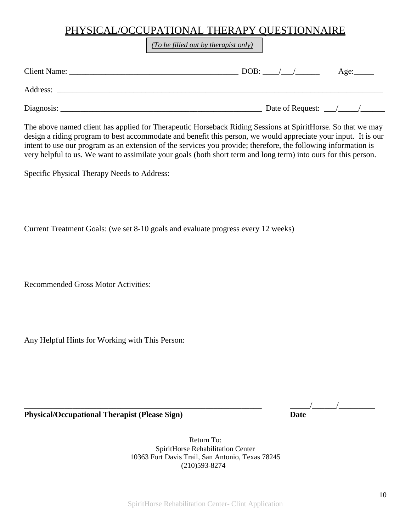## PHYSICAL/OCCUPATIONAL THERAPY QUESTIONNAIRE

*(To be filled out by therapist only)*

| <b>Client Name:</b> | DOB:             | Age: |
|---------------------|------------------|------|
| Address:            |                  |      |
| Diagnosis:          | Date of Request: |      |

The above named client has applied for Therapeutic Horseback Riding Sessions at SpiritHorse. So that we may design a riding program to best accommodate and benefit this person, we would appreciate your input. It is our intent to use our program as an extension of the services you provide; therefore, the following information is very helpful to us. We want to assimilate your goals (both short term and long term) into ours for this person.

Specific Physical Therapy Needs to Address:

Current Treatment Goals: (we set 8-10 goals and evaluate progress every 12 weeks)

Recommended Gross Motor Activities:

Any Helpful Hints for Working with This Person:

\_\_\_\_\_\_\_\_\_\_\_\_\_\_\_\_\_\_\_\_\_\_\_\_\_\_\_\_\_\_\_\_\_\_\_\_\_\_\_\_\_\_\_\_\_\_\_\_\_\_\_\_\_\_\_\_\_\_\_ \_\_\_\_\_/\_\_\_\_\_\_/\_\_\_\_\_\_\_\_\_

**Physical/Occupational Therapist (Please Sign)** Date

Return To: SpiritHorse Rehabilitation Center 10363 Fort Davis Trail, San Antonio, Texas 78245 (210)593-8274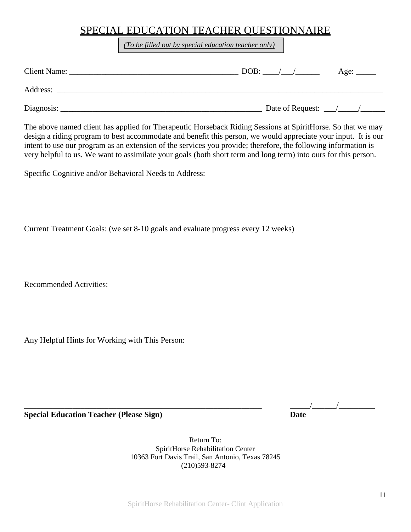## SPECIAL EDUCATION TEACHER QUESTIONNAIRE

*(To be filled out by special education teacher only)*

| Client Name: |                                       | Age: $\_\_\_\_\_\_\_\_\_\_\_\_\_\_\_\_\_\_\_\_\_\_\_\_\_\_\_\_\_\_\_\_$ |
|--------------|---------------------------------------|-------------------------------------------------------------------------|
| Address:     |                                       |                                                                         |
| Diagnosis:   | Date of Request: $\frac{\sqrt{2}}{2}$ |                                                                         |

The above named client has applied for Therapeutic Horseback Riding Sessions at SpiritHorse. So that we may design a riding program to best accommodate and benefit this person, we would appreciate your input. It is our intent to use our program as an extension of the services you provide; therefore, the following information is very helpful to us. We want to assimilate your goals (both short term and long term) into ours for this person.

Specific Cognitive and/or Behavioral Needs to Address:

Current Treatment Goals: (we set 8-10 goals and evaluate progress every 12 weeks)

Recommended Activities:

Any Helpful Hints for Working with This Person:

**Special Education Teacher (Please Sign)** Date

\_\_\_\_\_\_\_\_\_\_\_\_\_\_\_\_\_\_\_\_\_\_\_\_\_\_\_\_\_\_\_\_\_\_\_\_\_\_\_\_\_\_\_\_\_\_\_\_\_\_\_\_\_\_\_\_\_\_\_ \_\_\_\_\_/\_\_\_\_\_\_/\_\_\_\_\_\_\_\_\_

Return To: SpiritHorse Rehabilitation Center 10363 Fort Davis Trail, San Antonio, Texas 78245 (210)593-8274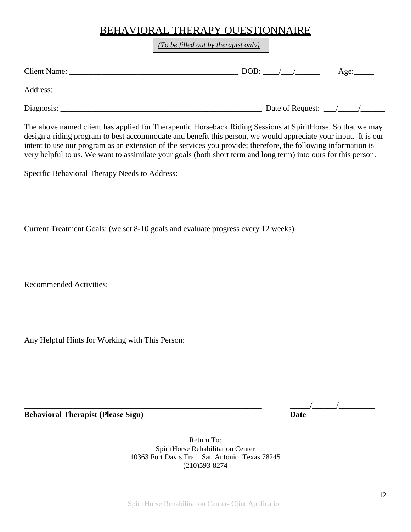# BEHAVIORAL THERAPY QUESTIONNAIRE

*(To be filled out by therapist only)*

| <b>Client Name:</b> | DOB:                                  | Age: |
|---------------------|---------------------------------------|------|
| Address:            |                                       |      |
| Diagnosis:          | Date of Request: $\frac{\sqrt{2}}{2}$ |      |

The above named client has applied for Therapeutic Horseback Riding Sessions at SpiritHorse. So that we may design a riding program to best accommodate and benefit this person, we would appreciate your input. It is our intent to use our program as an extension of the services you provide; therefore, the following information is very helpful to us. We want to assimilate your goals (both short term and long term) into ours for this person.

Specific Behavioral Therapy Needs to Address:

Current Treatment Goals: (we set 8-10 goals and evaluate progress every 12 weeks)

Recommended Activities:

Any Helpful Hints for Working with This Person:

**Behavioral Therapist (Please Sign)** Date

\_\_\_\_\_\_\_\_\_\_\_\_\_\_\_\_\_\_\_\_\_\_\_\_\_\_\_\_\_\_\_\_\_\_\_\_\_\_\_\_\_\_\_\_\_\_\_\_\_\_\_\_\_\_\_\_\_\_\_ \_\_\_\_\_/\_\_\_\_\_\_/\_\_\_\_\_\_\_\_\_

Return To: SpiritHorse Rehabilitation Center 10363 Fort Davis Trail, San Antonio, Texas 78245 (210)593-8274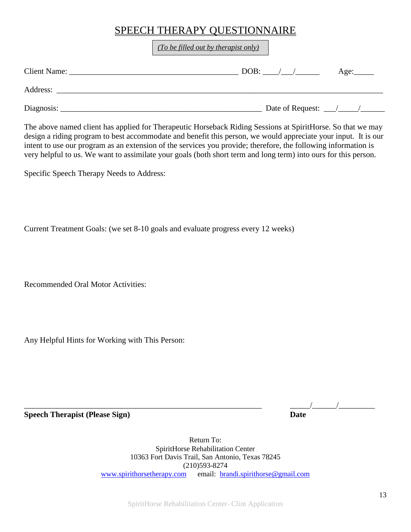# SPEECH THERAPY QUESTIONNAIRE

*(To be filled out by therapist only)*

| <b>Client Name:</b> | DOB:                                  | Age: |
|---------------------|---------------------------------------|------|
| Address:            |                                       |      |
| Diagnosis:          | Date of Request: $\frac{\sqrt{2}}{2}$ |      |

The above named client has applied for Therapeutic Horseback Riding Sessions at SpiritHorse. So that we may design a riding program to best accommodate and benefit this person, we would appreciate your input. It is our intent to use our program as an extension of the services you provide; therefore, the following information is very helpful to us. We want to assimilate your goals (both short term and long term) into ours for this person.

Specific Speech Therapy Needs to Address:

Current Treatment Goals: (we set 8-10 goals and evaluate progress every 12 weeks)

Recommended Oral Motor Activities:

Any Helpful Hints for Working with This Person:

**Speech Therapist (Please Sign)** Date

\_\_\_\_\_\_\_\_\_\_\_\_\_\_\_\_\_\_\_\_\_\_\_\_\_\_\_\_\_\_\_\_\_\_\_\_\_\_\_\_\_\_\_\_\_\_\_\_\_\_\_\_\_\_\_\_\_\_\_ \_\_\_\_\_/\_\_\_\_\_\_/\_\_\_\_\_\_\_\_\_

Return To: SpiritHorse Rehabilitation Center 10363 Fort Davis Trail, San Antonio, Texas 78245 (210)593-8274 [www.spirithorsetherapy.com](http://www.spirithorsetherapy.com/) email: [brandi.spirithorse@gmail.com](mailto:brandi.spirithorse@gmail.com)